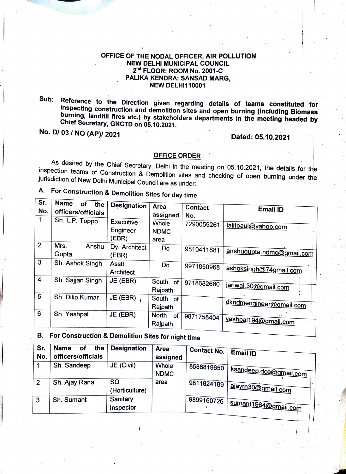## OFFICE OF THE NODAL OFFICER, AIR POLLUTION NEW DELHI MUNICIPAL COUNCIL 2<sup>nd</sup> FLOOR: ROOM No. 2001-C PALIKA KENDRA: SANSAD MARG, NEW DELHI110001

Sub: Reference to the Direction given regarding details of teams constituted for inspecting construction and demolition sites and open burning (including Biomass burning, landfill fires etc.) by stakeholders departments in the meeting headed by<br>Chief Secretary, GNCTD on 05.10.2021.

No. D/ 03 / NO (AP)/ 2021 Dated: 05.10.2021

OFFICE ORDER<br>As desired by the Chief Secretary, Delhi in the meeting on 05.10.2021, the details for the inspection teams of Construction & Demolition sites and checking of open burning under the jurisdiction of New Delhi Municipal Council are as under:

A. For Construction & Demolition Sites for day time

| Sr.<br>No.              | <b>Name</b><br>οf<br>the<br>officers/officials | <b>Designation</b>     | Area<br>assigned              | <b>Contact</b><br>No. | <b>Email ID</b>           |
|-------------------------|------------------------------------------------|------------------------|-------------------------------|-----------------------|---------------------------|
|                         | Sh. L.P. Toppo                                 | Executive<br>Engineer  | Whole<br><b>NDMC</b>          | 7290059261            | lalitpaul@yahoo.com       |
|                         |                                                | (EBR)                  | area                          |                       |                           |
| 2                       | Mrs.<br>Anshu<br>Gupta                         | Dy. Architect<br>(EBR) | Do                            | 9810411681            | anshugupta.ndmc@gmail.com |
| 3                       | Sh. Ashok Singh                                | Asstt.<br>Architect    | Do                            | 9971850968            | ashoksingh@74gmail.com    |
| $\overline{\mathbf{4}}$ | Sh. Sajjan Singh                               | JE (EBR)               | South of<br>Rajpath           | 9718682680            | jariwal.30@gmail.com      |
| 5                       | Sh. Dilip Kumar                                | JE (EBR)               | South<br>of<br>Rajpath        |                       | dkndmengineer@gmail.com   |
| 6                       | Sh. Yashpal                                    | JE (EBR)               | North<br><b>of</b><br>Rajpath | 9871758404            | yashpal194@gmail.com      |

B. For Construction & Demolition Sites for night time

| Sr.<br>No. | <b>Name</b><br>the<br>οf<br>officers/officials | <b>Designation</b>          | <b>Area</b><br>assigned | Contact No. | Email ID               |
|------------|------------------------------------------------|-----------------------------|-------------------------|-------------|------------------------|
|            | Sh. Sandeep                                    | JE (Civil)                  | Whole<br><b>NDMC</b>    | 8588819650  | ksandeep.dce@gmail.com |
| 2          | Sh. Ajay Rana                                  | <b>SO</b><br>(Horticulture) | area                    | 9811824189  | ajayrn30@gmail.com     |
| 3          | Sh. Sumant                                     | Sanitary<br>Inspector       |                         | 9899160726  | sumant1964@gmail.com   |